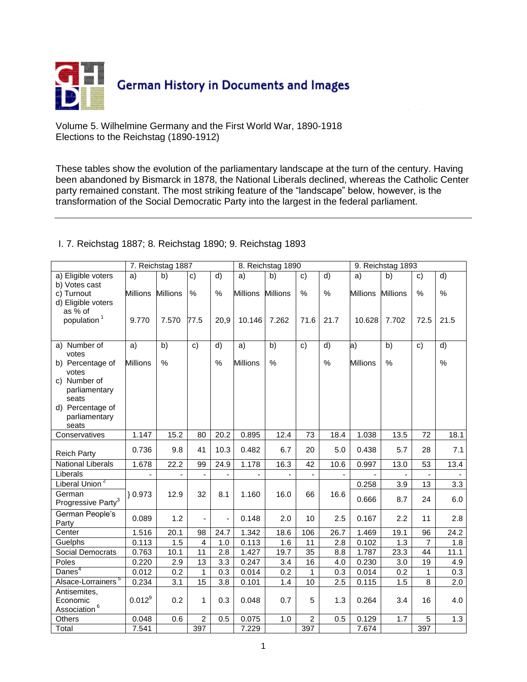

Volume 5. Wilhelmine Germany and the First World War, 1890-1918 Elections to the Reichstag (1890-1912)

These tables show the evolution of the parliamentary landscape at the turn of the century. Having been abandoned by Bismarck in 1878, the National Liberals declined, whereas the Catholic Center party remained constant. The most striking feature of the "landscape" below, however, is the transformation of the Social Democratic Party into the largest in the federal parliament.

|                                                                                      | 7. Reichstag 1887 |                 |                         | 8. Reichstag 1890        |                 |                 | 9. Reichstag 1893 |                   |                 |                 |                |                |
|--------------------------------------------------------------------------------------|-------------------|-----------------|-------------------------|--------------------------|-----------------|-----------------|-------------------|-------------------|-----------------|-----------------|----------------|----------------|
| a) Eligible voters<br>b) Votes cast                                                  | a)                | b)              | $\mathbf{c}$            | $\overline{d}$           | a)              | b)              | $\mathbf{c}$      | $\overline{d}$    | a)              | b)              | c)             | $\overline{d}$ |
| c) Turnout<br>d) Eligible voters                                                     | <b>Millions</b>   | <b>Millions</b> | %                       | %                        | <b>Millions</b> | <b>Millions</b> | %                 | %                 | <b>Millions</b> | <b>Millions</b> | %              | $\%$           |
| as % of<br>population <sup>1</sup>                                                   | 9.770             | 7.570           | 77.5                    | 20,9                     | 10.146          | 7.262           | 71.6              | 21.7              | 10.628          | 7.702           | 72.5           | 21.5           |
| a) Number of<br>votes                                                                | a)                | b)              | $\mathbf{c}$            | d)                       | a)              | b)              | $\mathbf{c}$      | d)                | $ a\rangle$     | b)              | $\mathbf{c}$   | d)             |
| b) Percentage of<br>votes                                                            | <b>Millions</b>   | $\%$            |                         | $\%$                     | <b>Millions</b> | $\%$            |                   | $\%$              | <b>Millions</b> | $\%$            |                | $\%$           |
| c) Number of<br>parliamentary<br>seats<br>d) Percentage of<br>parliamentary<br>seats |                   |                 |                         |                          |                 |                 |                   |                   |                 |                 |                |                |
| Conservatives                                                                        | 1.147             | 15.2            | 80                      | 20.2                     | 0.895           | 12.4            | 73                | $\overline{18.4}$ | 1.038           | 13.5            | 72             | 18.1           |
| <b>Reich Party</b>                                                                   | 0.736             | 9.8             | 41                      | 10.3                     | 0.482           | 6.7             | 20                | 5.0               | 0.438           | 5.7             | 28             | 7.1            |
| <b>National Liberals</b>                                                             | 1.678             | 22.2            | 99                      | 24.9                     | 1.178           | 16.3            | 42                | 10.6              | 0.997           | 13.0            | 53             | 13.4           |
| Liberals                                                                             |                   |                 |                         |                          |                 |                 |                   |                   |                 |                 |                |                |
| Liberal Union <sup>2</sup>                                                           |                   |                 |                         |                          |                 |                 |                   |                   | 0.258           | 3.9             | 13             | 3.3            |
| German<br>Progressive Party <sup>3</sup>                                             | $\} 0.973$        | 12.9            | 32                      | 8.1                      | 1.160           | 16.0            | 66                | 16.6              | 0.666           | 8.7             | 24             | 6.0            |
| German People's<br>Party                                                             | 0.089             | 1.2             | ä,                      | $\overline{\phantom{a}}$ | 0.148           | 2.0             | 10                | 2.5               | 0.167           | 2.2             | 11             | 2.8            |
| Center                                                                               | 1.516             | 20.1            | 98                      | 24.7                     | 1.342           | 18.6            | 106               | 26.7              | 1.469           | 19.1            | 96             | 24.2           |
| Guelphs                                                                              | 0.113             | 1.5             | $\overline{\mathbf{4}}$ | 1.0                      | 0.113           | 1.6             | 11                | 2.8               | 0.102           | 1.3             | $\overline{7}$ | 1.8            |
| Social Democrats                                                                     | 0.763             | 10.1            | 11                      | 2.8                      | 1.427           | 19.7            | 35                | 8.8               | 1.787           | 23.3            | 44             | 11.1           |
| Poles                                                                                | 0.220             | 2.9             | 13                      | 3.3                      | 0.247           | 3.4             | 16                | 4.0               | 0.230           | 3.0             | 19             | 4.9            |
| Danes <sup>4</sup>                                                                   | 0.012             | 0.2             | $\mathbf{1}$            | 0.3                      | 0.014           | 0.2             | 1                 | 0.3               | 0.014           | 0.2             | 1              | 0.3            |
| Alsace-Lorrainers <sup>5</sup>                                                       | 0.234             | 3.1             | 15                      | 3.8                      | 0.101           | 1.4             | 10                | 2.5               | 0.115           | 1.5             | 8              | 2.0            |
| Antisemites,<br>Economic<br>Association <sup>6</sup>                                 | $0.012^{9}$       | 0.2             | 1                       | 0.3                      | 0.048           | 0.7             | 5                 | 1.3               | 0.264           | 3.4             | 16             | 4.0            |
| Others                                                                               | 0.048             | 0.6             | $\overline{2}$          | 0.5                      | 0.075           | 1.0             | $\overline{2}$    | 0.5               | 0.129           | 1.7             | 5              | 1.3            |
| Total                                                                                | 7.541             |                 | 397                     |                          | 7.229           |                 | 397               |                   | 7.674           |                 | 397            |                |

## I. 7. Reichstag 1887; 8. Reichstag 1890; 9. Reichstag 1893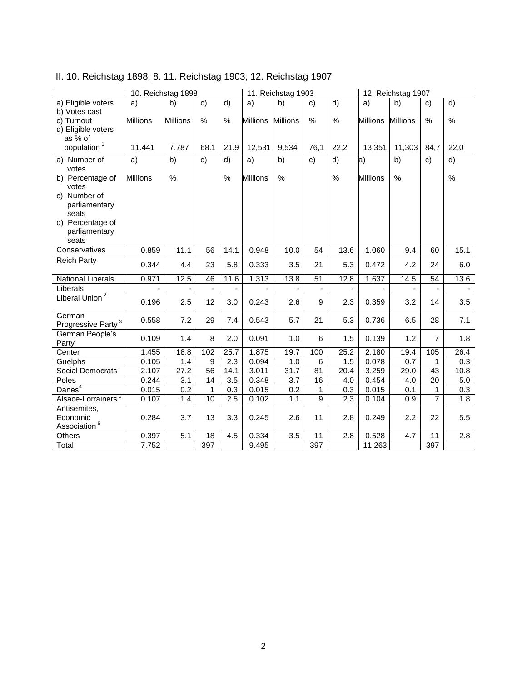| II. 10. Reichstag 1898; 8. 11. Reichstag 1903; 12. Reichstag 1907 |  |  |  |
|-------------------------------------------------------------------|--|--|--|
|-------------------------------------------------------------------|--|--|--|

| $\overline{d}$<br>a) Eligible voters<br>d)<br>b)<br>$\mathbf{c}$<br>a)<br>b)<br>b)<br>a)<br>c)<br>a)<br>c)                                               |                  |
|----------------------------------------------------------------------------------------------------------------------------------------------------------|------------------|
|                                                                                                                                                          | d)               |
| b) Votes cast                                                                                                                                            |                  |
| %<br>$\%$<br><b>Millions</b><br><b>Millions</b><br>%<br>%<br><b>Millions</b><br>%<br><b>Millions</b><br>c) Turnout<br><b>Millions</b><br><b>Millions</b> | $\%$             |
| d) Eligible voters<br>as % of                                                                                                                            |                  |
| population <sup>1</sup><br>7.787<br>11.441<br>68.1<br>21.9<br>12,531<br>9,534<br>76,1<br>22,2<br>13,351<br>11,303<br>84,7                                | 22,0             |
|                                                                                                                                                          |                  |
| $\overline{d}$<br> a <br>$\overline{b)}$<br>a) Number of<br>a)<br>b)<br>$\mathsf{c})$<br>a)<br>b)<br>c)<br>d)<br>c)                                      | d)               |
| votes<br>$\%$<br>$\%$<br>$\%$<br>%<br><b>Millions</b><br>%<br><b>Millions</b><br><b>Millions</b>                                                         | $\%$             |
| b) Percentage of<br>votes                                                                                                                                |                  |
| c) Number of                                                                                                                                             |                  |
| parliamentary                                                                                                                                            |                  |
| seats                                                                                                                                                    |                  |
| d) Percentage of                                                                                                                                         |                  |
| parliamentary                                                                                                                                            |                  |
| seats                                                                                                                                                    |                  |
| Conservatives<br>0.859<br>11.1<br>0.948<br>56<br>14.1<br>10.0<br>54<br>13.6<br>1.060<br>9.4<br>60                                                        | 15.1             |
| <b>Reich Party</b><br>5.3<br>4.2<br>0.344<br>4.4<br>23<br>5.8<br>0.333<br>3.5<br>21<br>0.472<br>24                                                       | 6.0              |
| 12.5<br>1.313<br>0.971<br>46<br>11.6<br>13.8<br>$\overline{51}$<br>12.8<br>1.637<br>14.5<br>$\overline{54}$<br><b>National Liberals</b>                  | 13.6             |
| Liberals<br>L.<br>$\blacksquare$<br>$\frac{1}{2}$<br>$\blacksquare$<br>$\overline{a}$<br>L.<br>$\frac{1}{2}$                                             |                  |
| Liberal Union <sup>2</sup><br>2.5<br>12<br>0.243<br>0.196<br>3.0<br>2.6<br>9<br>2.3<br>0.359<br>3.2<br>14                                                | 3.5              |
| German<br>7.2<br>29<br>0.543<br>5.3<br>28<br>0.558<br>7.4<br>5.7<br>21<br>0.736<br>6.5<br>Progressive Party <sup>3</sup>                                 | 7.1              |
| German People's<br>0.091<br>1.2<br>0.109<br>1.4<br>8<br>2.0<br>6<br>1.5<br>0.139<br>$\overline{7}$<br>1.0                                                | 1.8              |
| Party                                                                                                                                                    |                  |
| 1.455<br>18.8<br>102<br>25.7<br>1.875<br>19.7<br>100<br>25.2<br>2.180<br>19.4<br>105<br>Center                                                           | 26.4             |
| 9<br>2.3<br>1.5<br>0.7<br>0.105<br>1.4<br>0.094<br>1.0<br>6<br>0.078<br>Guelphs<br>$\mathbf{1}$                                                          | 0.3              |
| 27.2<br>Social Democrats<br>3.259<br>2.107<br>56<br>14.1<br>3.011<br>31.7<br>81<br>29.0<br>43<br>20.4                                                    | 10.8             |
| $\overline{3.1}$<br>$\overline{3.5}$<br>Poles<br>0.244<br>14<br>0.348<br>3.7<br>16<br>4.0<br>0.454<br>4.0<br>20                                          | 5.0              |
| Danes <sup>4</sup><br>0.2<br>$\mathbf{1}$<br>0.3<br>0.015<br>0.2<br>1<br>0.015<br>0.1<br>0.015<br>0.3<br>$\mathbf{1}$                                    | 0.3              |
| Alsace-Lorrainers <sup>5</sup><br>$\overline{7}$<br>$\overline{9}$<br>1.4<br>2.5<br>0.107<br>10<br>0.102<br>1.1<br>2.3<br>0.104<br>0.9                   | 1.8              |
| Antisemites,                                                                                                                                             |                  |
| 0.245<br>22<br>0.284<br>3.7<br>13<br>3.3<br>2.6<br>11<br>2.8<br>0.249<br>2.2<br>Economic<br>Association <sup>6</sup>                                     | 5.5              |
| $\overline{3.5}$<br>0.397<br>5.1<br>18<br>0.334<br>2.8<br>0.528<br>4.7<br>Others<br>4.5<br>11<br>11                                                      | $\overline{2.8}$ |
| 397<br>397<br>11.263<br>397<br>Total<br>7.752<br>9.495                                                                                                   |                  |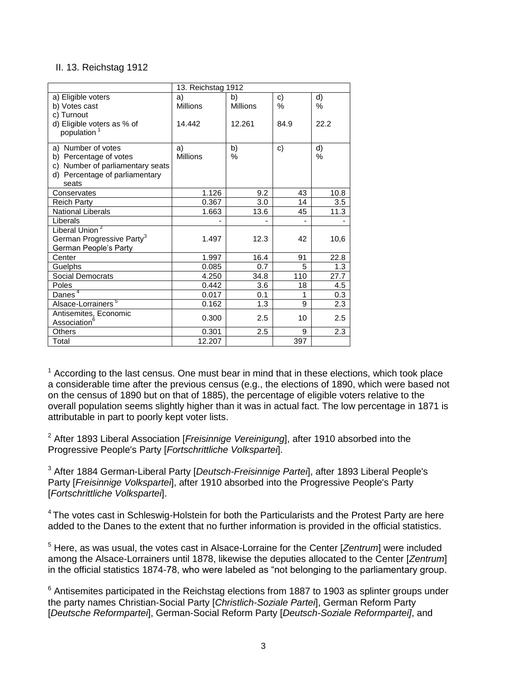## II. 13. Reichstag 1912

|                                       | 13. Reichstag 1912 |                 |      |      |  |  |
|---------------------------------------|--------------------|-----------------|------|------|--|--|
| a) Eligible voters                    | a)                 | b)              | c)   | d)   |  |  |
| b) Votes cast                         | <b>Millions</b>    | <b>Millions</b> | $\%$ | $\%$ |  |  |
| c) Turnout                            |                    |                 |      |      |  |  |
| d) Eligible voters as % of            | 14.442             | 12.261          | 84.9 | 22.2 |  |  |
| population                            |                    |                 |      |      |  |  |
| a) Number of votes                    | a)                 | b)              | c)   | d)   |  |  |
| b) Percentage of votes                | <b>Millions</b>    | $\%$            |      | $\%$ |  |  |
| c) Number of parliamentary seats      |                    |                 |      |      |  |  |
| d) Percentage of parliamentary        |                    |                 |      |      |  |  |
| seats                                 |                    |                 |      |      |  |  |
| Conservates                           | 1.126              | 9.2             | 43   | 10.8 |  |  |
| <b>Reich Party</b>                    | 0.367              | 3.0             | 14   | 3.5  |  |  |
| <b>National Liberals</b>              | 1.663              | 13.6            | 45   | 11.3 |  |  |
| Liberals                              |                    |                 |      |      |  |  |
| Liberal Union <sup>2</sup>            |                    |                 |      |      |  |  |
| German Progressive Party <sup>3</sup> | 1.497              | 12.3            | 42   | 10,6 |  |  |
| German People's Party                 |                    |                 |      |      |  |  |
| Center                                | 1.997              | 16.4            | 91   | 22.8 |  |  |
| Guelphs                               | 0.085              | 0.7             | 5    | 1.3  |  |  |
| Social Democrats                      | 4.250              | 34.8            | 110  | 27.7 |  |  |
| Poles                                 | 0.442              | 3.6             | 18   | 4.5  |  |  |
| Danes <sup>4</sup>                    | 0.017              | 0.1             | 1    | 0.3  |  |  |
| Alsace-Lorrainers <sup>5</sup>        | 0.162              | 1.3             | 9    | 2.3  |  |  |
| Antisemites, Economic                 | 0.300              | 2.5             | 10   | 2.5  |  |  |
| Association <sup>6</sup>              |                    |                 |      |      |  |  |
| Others                                | 0.301              | 2.5             | 9    | 2.3  |  |  |
| Total                                 | 12.207             |                 | 397  |      |  |  |

 $1$  According to the last census. One must bear in mind that in these elections, which took place a considerable time after the previous census (e.g., the elections of 1890, which were based not on the census of 1890 but on that of 1885), the percentage of eligible voters relative to the overall population seems slightly higher than it was in actual fact. The low percentage in 1871 is attributable in part to poorly kept voter lists.

<sup>2</sup> After 1893 Liberal Association [*Freisinnige Vereinigung*], after 1910 absorbed into the Progressive People's Party [*Fortschrittliche Volkspartei*].

<sup>3</sup> After 1884 German-Liberal Party [*Deutsch-Freisinnige Partei*], after 1893 Liberal People's Party [*Freisinnige Volkspartei*], after 1910 absorbed into the Progressive People's Party [*Fortschrittliche Volkspartei*].

<sup>4</sup> The votes cast in Schleswig-Holstein for both the Particularists and the Protest Party are here added to the Danes to the extent that no further information is provided in the official statistics.

<sup>5</sup> Here, as was usual, the votes cast in Alsace-Lorraine for the Center [*Zentrum*] were included among the Alsace-Lorrainers until 1878, likewise the deputies allocated to the Center [*Zentrum*] in the official statistics 1874-78, who were labeled as "not belonging to the parliamentary group.

 $6$  Antisemites participated in the Reichstag elections from 1887 to 1903 as splinter groups under the party names Christian-Social Party [*Christlich-Soziale Partei*], German Reform Party [*Deutsche Reformpartei*], German-Social Reform Party [*Deutsch-Soziale Reformpartei]*, and